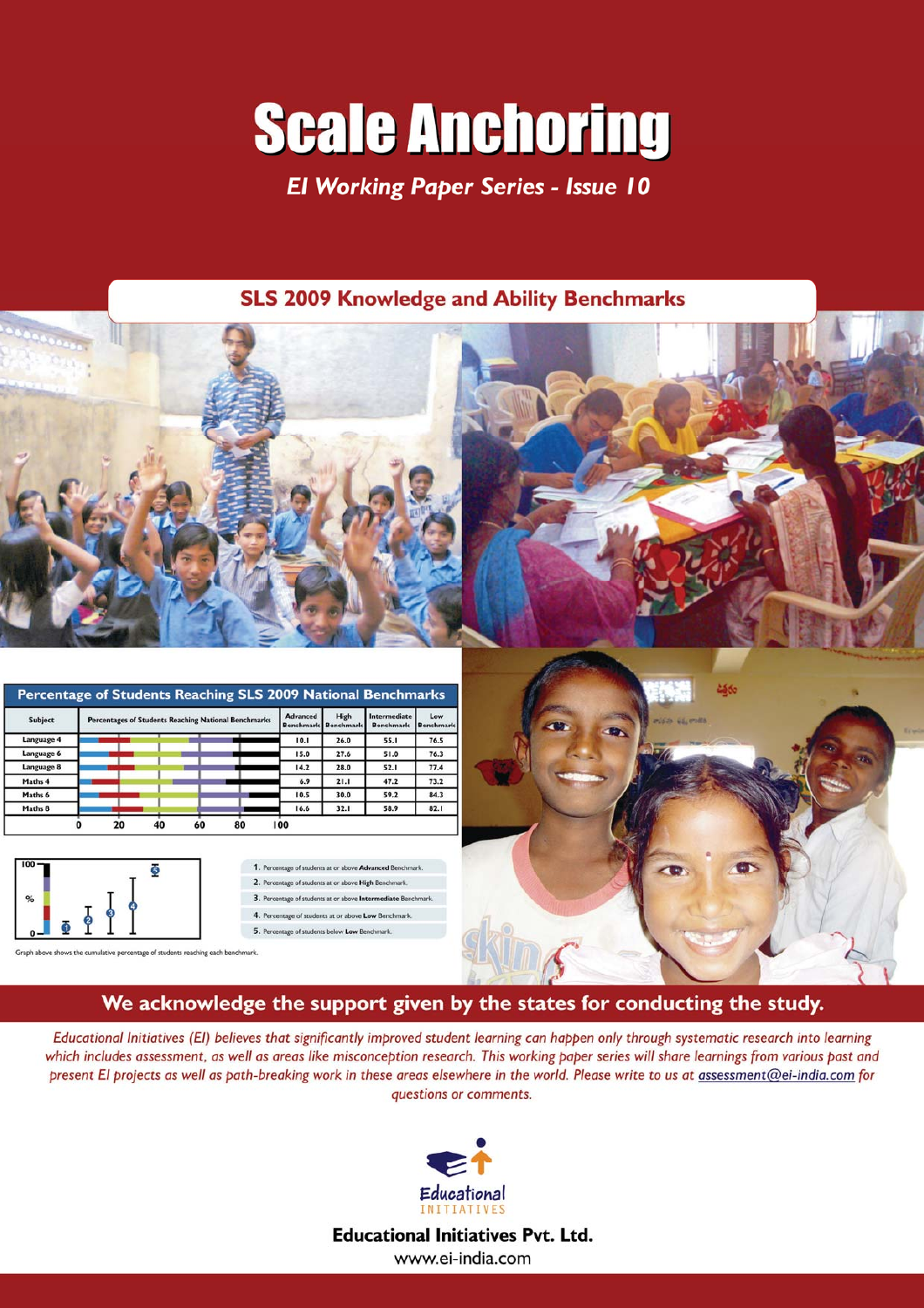# **Scale Anchoring**

**El Working Paper Series - Issue 10** 

### **SLS 2009 Knowledge and Ability Benchmarks**



| <b>Subject</b> |  |  | <b>Percentages of Students Reaching National Benchmarks</b> | <b>Advanced</b><br><b>Benchmark</b> | High<br><b>Benchmark</b> | Intermediate<br><b>Benchmark</b> | Low<br>Benchmark |
|----------------|--|--|-------------------------------------------------------------|-------------------------------------|--------------------------|----------------------------------|------------------|
| Language 4     |  |  |                                                             | 10.1                                | 26.0                     | 55.1                             | 76.5             |
| Language 6     |  |  |                                                             | 15.0                                | 27.6                     | 51.0                             | 76.3             |
| Language 8     |  |  |                                                             | 14.2                                | 28.0                     | 52.1                             | 77.4             |
| Maths 4        |  |  |                                                             | 6.9                                 | 21.1                     | 47.2                             | 73.2             |
| Maths 6        |  |  |                                                             | 10.5                                | 30.0                     | 59.2                             | 84.3             |
| Maths 8        |  |  |                                                             | 16.6                                | 32.1                     | 58.9                             | 82.1             |



1. Percentage of students at or above Advanced Benchmark 2. Percentage of students at or above High Benchmark. 3. Percentage of students at or above Intermediate Benchmark. 4. Percentage of students at or above Low Benchmark 5. Percentage of students below Low Be

© Educational Initiatives Pvt. Ltd.

## We acknowledge the support given by the states for conducting the study.

Educational Initiatives (EI) believes that significantly improved student learning can happen only through systematic research into learning which includes assessment, as well as areas like misconception research. This working paper series will share learnings from various past and present El projects as well as path-breaking work in these areas elsewhere in the world. Please write to us at assessment@ei-india.com for questions or comments.



**Educational Initiatives Pvt. Ltd.** www.ei-india.com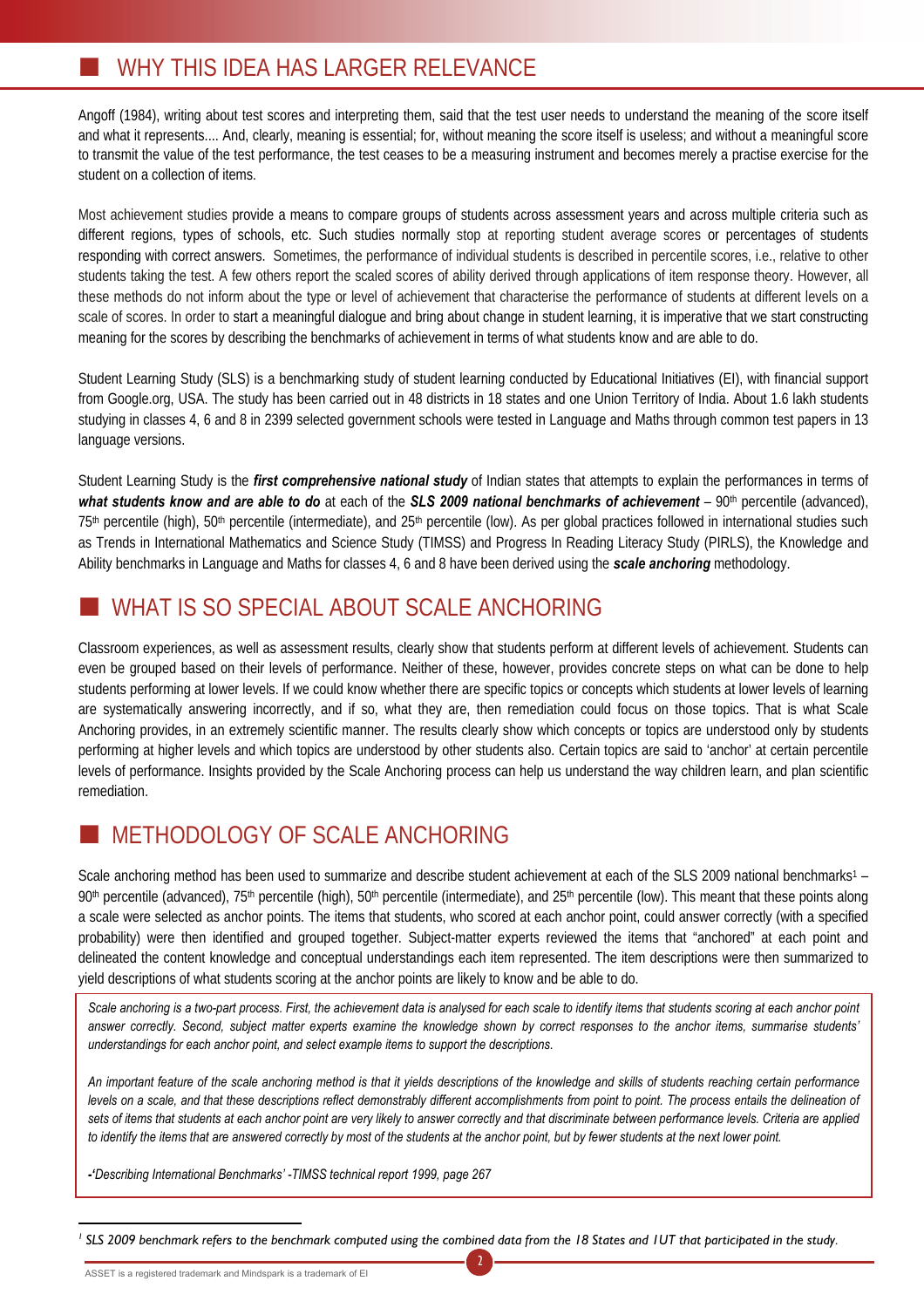### WHY THIS IDEA HAS LARGER RELEVANCE

Angoff (1984), writing about test scores and interpreting them, said that the test user needs to understand the meaning of the score itself and what it represents.... And, clearly, meaning is essential; for, without meaning the score itself is useless; and without a meaningful score to transmit the value of the test performance, the test ceases to be a measuring instrument and becomes merely a practise exercise for the student on a collection of items.

Most achievement studies provide a means to compare groups of students across assessment years and across multiple criteria such as different regions, types of schools, etc. Such studies normally stop at reporting student average scores or percentages of students responding with correct answers. Sometimes, the performance of individual students is described in percentile scores, i.e., relative to other students taking the test. A few others report the scaled scores of ability derived through applications of item response theory. However, all these methods do not inform about the type or level of achievement that characterise the performance of students at different levels on a scale of scores. In order to start a meaningful dialogue and bring about change in student learning, it is imperative that we start constructing meaning for the scores by describing the benchmarks of achievement in terms of what students know and are able to do.

Student Learning Study (SLS) is a benchmarking study of student learning conducted by Educational Initiatives (EI), with financial support from Google.org, USA. The study has been carried out in 48 districts in 18 states and one Union Territory of India. About 1.6 lakh students studying in classes 4, 6 and 8 in 2399 selected government schools were tested in Language and Maths through common test papers in 13 language versions.

Student Learning Study is the *first comprehensive national study* of Indian states that attempts to explain the performances in terms of what students know and are able to do at each of the **SLS 2009 national benchmarks of achievement** – 90<sup>th</sup> percentile (advanced), 75<sup>th</sup> percentile (high), 50<sup>th</sup> percentile (intermediate), and 25<sup>th</sup> percentile (low). As per global practices followed in international studies such as Trends in International Mathematics and Science Study (TIMSS) and Progress In Reading Literacy Study (PIRLS), the Knowledge and Ability benchmarks in Language and Maths for classes 4, 6 and 8 have been derived using the *scale anchoring* methodology.

# WHAT IS SO SPECIAL ABOUT SCALE ANCHORING

Classroom experiences, as well as assessment results, clearly show that students perform at different levels of achievement. Students can even be grouped based on their levels of performance. Neither of these, however, provides concrete steps on what can be done to help students performing at lower levels. If we could know whether there are specific topics or concepts which students at lower levels of learning are systematically answering incorrectly, and if so, what they are, then remediation could focus on those topics. That is what Scale Anchoring provides, in an extremely scientific manner. The results clearly show which concepts or topics are understood only by students performing at higher levels and which topics are understood by other students also. Certain topics are said to 'anchor' at certain percentile levels of performance. Insights provided by the Scale Anchoring process can help us understand the way children learn, and plan scientific remediation.

# METHODOLOGY OF SCALE ANCHORING

Scale anchoring method has been used to summarize and describe student achievement at each of the SLS 2009 national benchmarks1 – 90<sup>th</sup> percentile (advanced), 75<sup>th</sup> percentile (high), 50<sup>th</sup> percentile (intermediate), and 25<sup>th</sup> percentile (low). This meant that these points along a scale were selected as anchor points. The items that students, who scored at each anchor point, could answer correctly (with a specified probability) were then identified and grouped together. Subject-matter experts reviewed the items that "anchored" at each point and delineated the content knowledge and conceptual understandings each item represented. The item descriptions were then summarized to yield descriptions of what students scoring at the anchor points are likely to know and be able to do.

*Scale anchoring is a two-part process. First, the achievement data is analysed for each scale to identify items that students scoring at each anchor point answer correctly. Second, subject matter experts examine the knowledge shown by correct responses to the anchor items, summarise students' understandings for each anchor point, and select example items to support the descriptions.* 

*An important feature of the scale anchoring method is that it yields descriptions of the knowledge and skills of students reaching certain performance levels on a scale, and that these descriptions reflect demonstrably different accomplishments from point to point. The process entails the delineation of sets of items that students at each anchor point are very likely to answer correctly and that discriminate between performance levels. Criteria are applied*  to identify the items that are answered correctly by most of the students at the anchor point, but by fewer students at the next lower point.

*-'Describing International Benchmarks' -TIMSS technical report 1999, page 267*

<sup>1</sup> SLS 2009 benchmark refers to the benchmark computed using the combined data from the 18 States and 1UT that participated in the study.

2

 $\overline{a}$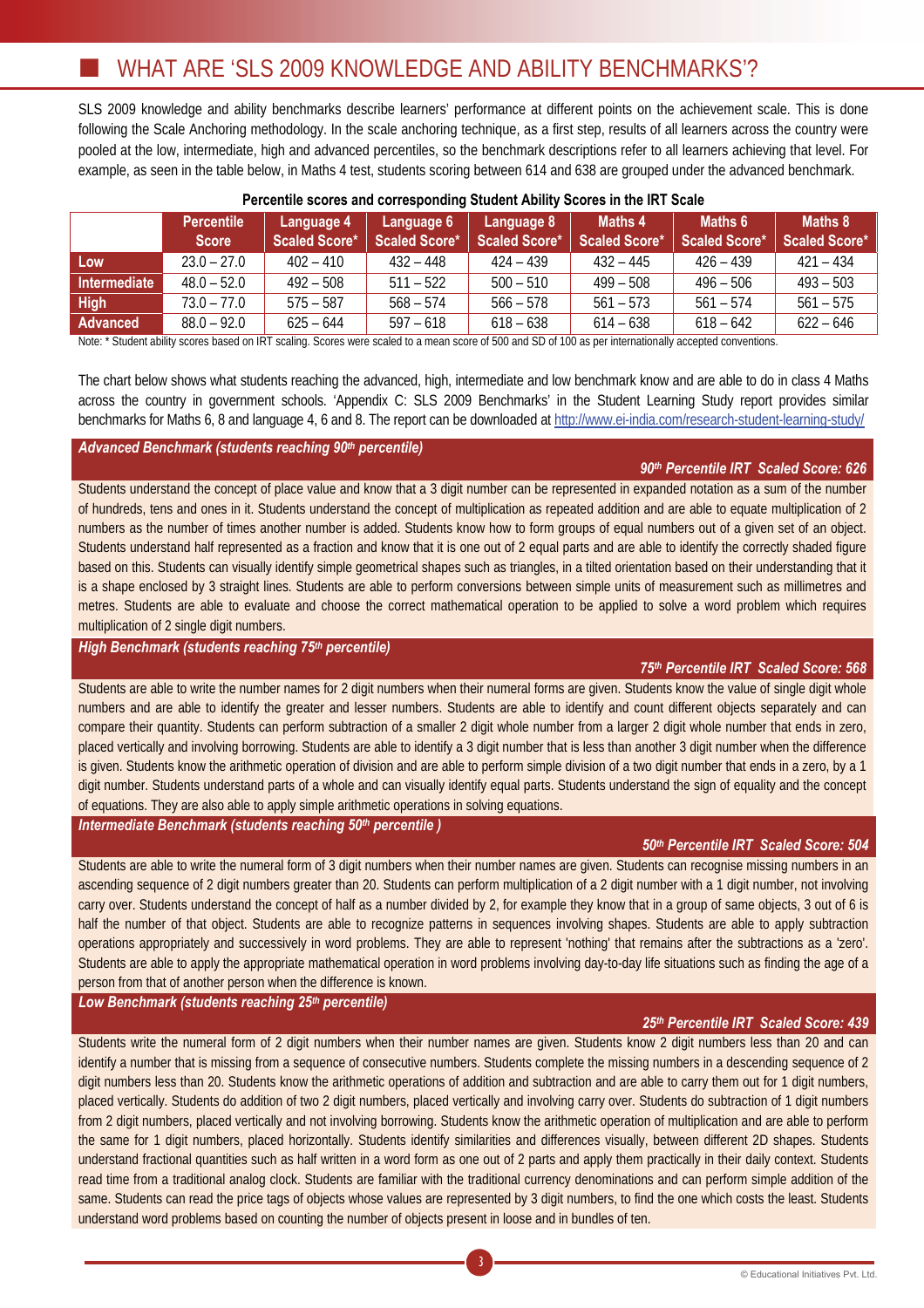SLS 2009 knowledge and ability benchmarks describe learners' performance at different points on the achievement scale. This is done following the Scale Anchoring methodology. In the scale anchoring technique, as a first step, results of all learners across the country were pooled at the low, intermediate, high and advanced percentiles, so the benchmark descriptions refer to all learners achieving that level. For example, as seen in the table below, in Maths 4 test, students scoring between 614 and 638 are grouped under the advanced benchmark.

|                     | <b>Percentile</b><br><b>Score</b> | Language 4<br>Scaled Score* | Language 6<br>Scaled Score* | Language 8<br>Scaled Score* | Maths 4<br>Scaled Score* | Maths 6<br>Scaled Score* | Maths 8<br><b>Scaled Score*</b> |
|---------------------|-----------------------------------|-----------------------------|-----------------------------|-----------------------------|--------------------------|--------------------------|---------------------------------|
| Low                 | $23.0 - 27.0$                     | $402 - 410$                 | $432 - 448$                 | 424 – 439                   | $432 - 445$              | $426 - 439$              | $421 - 434$                     |
| <b>Intermediate</b> | $48.0 - 52.0$                     | $492 - 508$                 | $511 - 522$                 | $500 - 510$                 | $499 - 508$              | $496 - 506$              | $493 - 503$                     |
| High                | $73.0 - 77.0$                     | $575 - 587$                 | $568 - 574$                 | $566 - 578$                 | $561 - 573$              | $561 - 574$              | $561 - 575$                     |
| Advanced            | $88.0 - 92.0$                     | $625 - 644$                 | $597 - 618$                 | $618 - 638$                 | $614 - 638$              | $618 - 642$              | $622 - 646$                     |

### **Percentile scores and corresponding Student Ability Scores in the IRT Scale**

Note: \* Student ability scores based on IRT scaling. Scores were scaled to a mean score of 500 and SD of 100 as per internationally accepted conventions.

The chart below shows what students reaching the advanced, high, intermediate and low benchmark know and are able to do in class 4 Maths across the country in government schools. 'Appendix C: SLS 2009 Benchmarks' in the Student Learning Study report provides similar benchmarks for Maths 6, 8 and language 4, 6 and 8. The report can be downloaded at http://www.ei-india.com/research-student-learning-study/

### *Advanced Benchmark (students reaching 90th percentile)*

### *90th Percentile IRT Scaled Score: 626*

Students understand the concept of place value and know that a 3 digit number can be represented in expanded notation as a sum of the number of hundreds, tens and ones in it. Students understand the concept of multiplication as repeated addition and are able to equate multiplication of 2 numbers as the number of times another number is added. Students know how to form groups of equal numbers out of a given set of an object. Students understand half represented as a fraction and know that it is one out of 2 equal parts and are able to identify the correctly shaded figure based on this. Students can visually identify simple geometrical shapes such as triangles, in a tilted orientation based on their understanding that it is a shape enclosed by 3 straight lines. Students are able to perform conversions between simple units of measurement such as millimetres and metres. Students are able to evaluate and choose the correct mathematical operation to be applied to solve a word problem which requires multiplication of 2 single digit numbers.

### *High Benchmark (students reaching 75th percentile)*

### *75th Percentile IRT Scaled Score: 568*

Students are able to write the number names for 2 digit numbers when their numeral forms are given. Students know the value of single digit whole numbers and are able to identify the greater and lesser numbers. Students are able to identify and count different objects separately and can compare their quantity. Students can perform subtraction of a smaller 2 digit whole number from a larger 2 digit whole number that ends in zero, placed vertically and involving borrowing. Students are able to identify a 3 digit number that is less than another 3 digit number when the difference is given. Students know the arithmetic operation of division and are able to perform simple division of a two digit number that ends in a zero, by a 1 digit number. Students understand parts of a whole and can visually identify equal parts. Students understand the sign of equality and the concept of equations. They are also able to apply simple arithmetic operations in solving equations.

*Intermediate Benchmark (students reaching 50th percentile )* 

### *50th Percentile IRT Scaled Score: 504*

Students are able to write the numeral form of 3 digit numbers when their number names are given. Students can recognise missing numbers in an ascending sequence of 2 digit numbers greater than 20. Students can perform multiplication of a 2 digit number with a 1 digit number, not involving carry over. Students understand the concept of half as a number divided by 2, for example they know that in a group of same objects, 3 out of 6 is half the number of that object. Students are able to recognize patterns in sequences involving shapes. Students are able to apply subtraction operations appropriately and successively in word problems. They are able to represent 'nothing' that remains after the subtractions as a 'zero'. Students are able to apply the appropriate mathematical operation in word problems involving day-to-day life situations such as finding the age of a person from that of another person when the difference is known.

*Low Benchmark (students reaching 25th percentile)* 

### *25th Percentile IRT Scaled Score: 439*

Students write the numeral form of 2 digit numbers when their number names are given. Students know 2 digit numbers less than 20 and can identify a number that is missing from a sequence of consecutive numbers. Students complete the missing numbers in a descending sequence of 2 digit numbers less than 20. Students know the arithmetic operations of addition and subtraction and are able to carry them out for 1 digit numbers, placed vertically. Students do addition of two 2 digit numbers, placed vertically and involving carry over. Students do subtraction of 1 digit numbers from 2 digit numbers, placed vertically and not involving borrowing. Students know the arithmetic operation of multiplication and are able to perform the same for 1 digit numbers, placed horizontally. Students identify similarities and differences visually, between different 2D shapes. Students understand fractional quantities such as half written in a word form as one out of 2 parts and apply them practically in their daily context. Students read time from a traditional analog clock. Students are familiar with the traditional currency denominations and can perform simple addition of the same. Students can read the price tags of objects whose values are represented by 3 digit numbers, to find the one which costs the least. Students understand word problems based on counting the number of objects present in loose and in bundles of ten.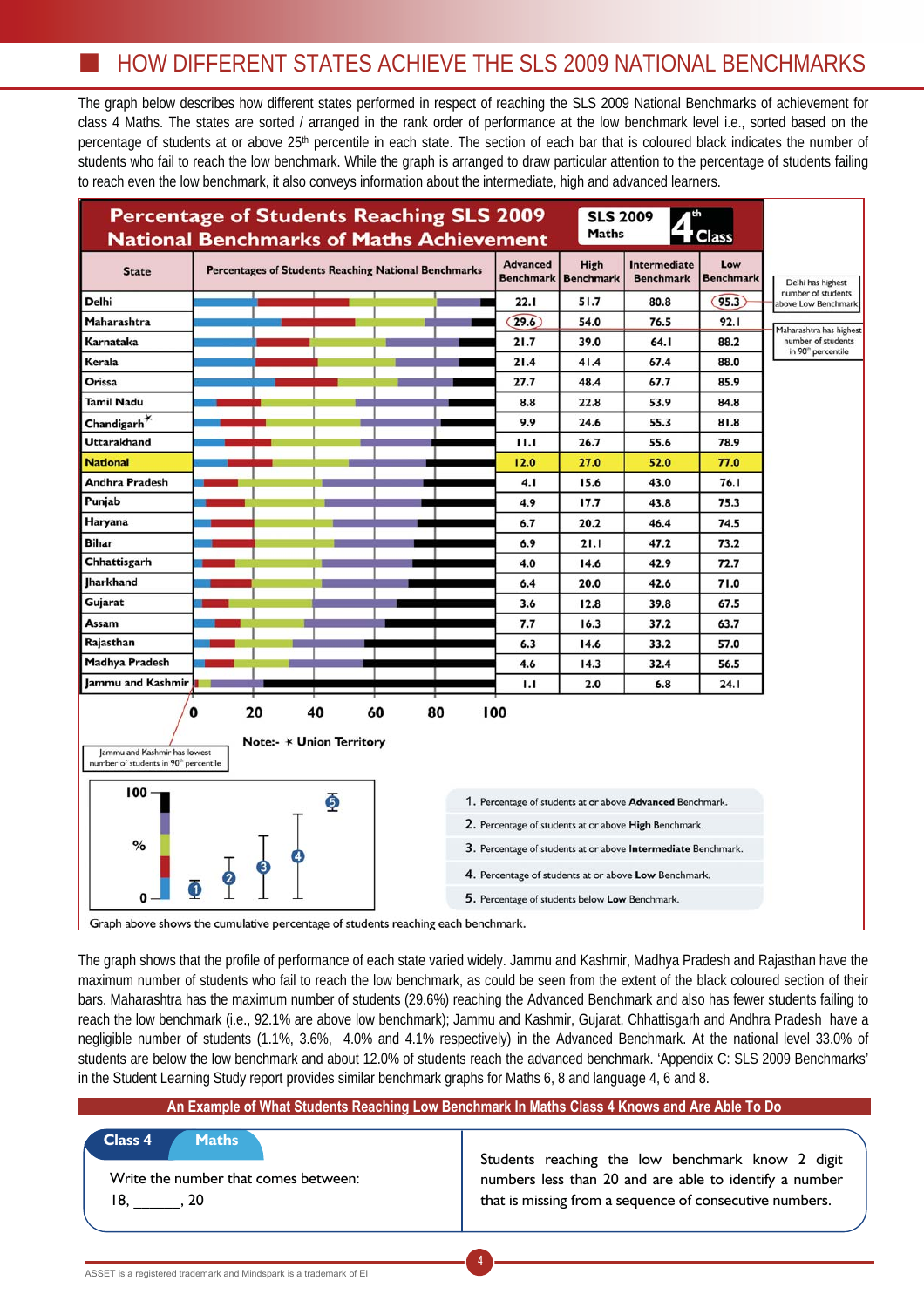# HOW DIFFERENT STATES ACHIEVE THE SLS 2009 NATIONAL BENCHMARKS

The graph below describes how different states performed in respect of reaching the SLS 2009 National Benchmarks of achievement for class 4 Maths. The states are sorted / arranged in the rank order of performance at the low benchmark level i.e., sorted based on the percentage of students at or above 25th percentile in each state. The section of each bar that is coloured black indicates the number of students who fail to reach the low benchmark. While the graph is arranged to draw particular attention to the percentage of students failing to reach even the low benchmark, it also conveys information about the intermediate, high and advanced learners.



The graph shows that the profile of performance of each state varied widely. Jammu and Kashmir, Madhya Pradesh and Rajasthan have the maximum number of students who fail to reach the low benchmark, as could be seen from the extent of the black coloured section of their bars. Maharashtra has the maximum number of students (29.6%) reaching the Advanced Benchmark and also has fewer students failing to reach the low benchmark (i.e., 92.1% are above low benchmark); Jammu and Kashmir, Gujarat, Chhattisgarh and Andhra Pradesh have a negligible number of students (1.1%, 3.6%, 4.0% and 4.1% respectively) in the Advanced Benchmark. At the national level 33.0% of students are below the low benchmark and about 12.0% of students reach the advanced benchmark. 'Appendix C: SLS 2009 Benchmarks' in the Student Learning Study report provides similar benchmark graphs for Maths 6, 8 and language 4, 6 and 8.

|                                                                                | An Example of What Students Reaching Low Benchmark In Maths Class 4 Knows and Are Able To Do                                                                          |
|--------------------------------------------------------------------------------|-----------------------------------------------------------------------------------------------------------------------------------------------------------------------|
| Class 4<br><b>Maths</b><br>Write the number that comes between:<br>18.<br>. 20 | Students reaching the low benchmark know 2 digit<br>numbers less than 20 and are able to identify a number<br>that is missing from a sequence of consecutive numbers. |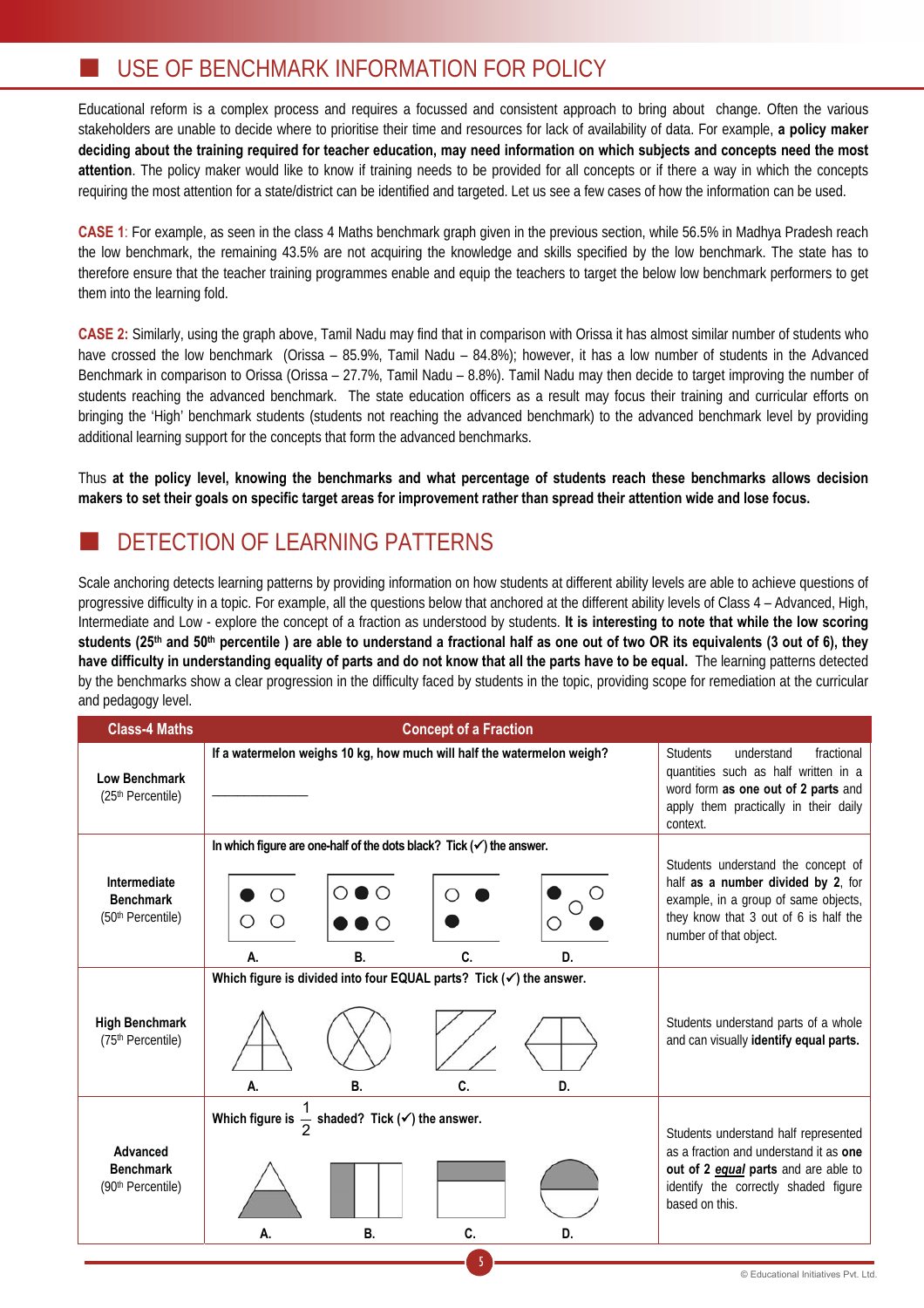# USE OF BENCHMARK INFORMATION FOR POLICY

Educational reform is a complex process and requires a focussed and consistent approach to bring about change. Often the various stakeholders are unable to decide where to prioritise their time and resources for lack of availability of data. For example, **a policy maker deciding about the training required for teacher education, may need information on which subjects and concepts need the most attention**. The policy maker would like to know if training needs to be provided for all concepts or if there a way in which the concepts requiring the most attention for a state/district can be identified and targeted. Let us see a few cases of how the information can be used.

**CASE 1**: For example, as seen in the class 4 Maths benchmark graph given in the previous section, while 56.5% in Madhya Pradesh reach the low benchmark, the remaining 43.5% are not acquiring the knowledge and skills specified by the low benchmark. The state has to therefore ensure that the teacher training programmes enable and equip the teachers to target the below low benchmark performers to get them into the learning fold.

**CASE 2:** Similarly, using the graph above, Tamil Nadu may find that in comparison with Orissa it has almost similar number of students who have crossed the low benchmark (Orissa – 85.9%, Tamil Nadu – 84.8%); however, it has a low number of students in the Advanced Benchmark in comparison to Orissa (Orissa – 27.7%, Tamil Nadu – 8.8%). Tamil Nadu may then decide to target improving the number of students reaching the advanced benchmark. The state education officers as a result may focus their training and curricular efforts on bringing the 'High' benchmark students (students not reaching the advanced benchmark) to the advanced benchmark level by providing additional learning support for the concepts that form the advanced benchmarks.

Thus **at the policy level, knowing the benchmarks and what percentage of students reach these benchmarks allows decision makers to set their goals on specific target areas for improvement rather than spread their attention wide and lose focus.**

# DETECTION OF LEARNING PATTERNS

Scale anchoring detects learning patterns by providing information on how students at different ability levels are able to achieve questions of progressive difficulty in a topic. For example, all the questions below that anchored at the different ability levels of Class 4 – Advanced, High, Intermediate and Low - explore the concept of a fraction as understood by students. **It is interesting to note that while the low scoring**  students (25<sup>th</sup> and 50<sup>th</sup> percentile) are able to understand a fractional half as one out of two OR its equivalents (3 out of 6), they **have difficulty in understanding equality of parts and do not know that all the parts have to be equal.** The learning patterns detected by the benchmarks show a clear progression in the difficulty faced by students in the topic, providing scope for remediation at the curricular and pedagogy level.

| <b>Class-4 Maths</b>                                              | <b>Concept of a Fraction</b>                                                                            |                                                                                                                                                                                         |
|-------------------------------------------------------------------|---------------------------------------------------------------------------------------------------------|-----------------------------------------------------------------------------------------------------------------------------------------------------------------------------------------|
| <b>Low Benchmark</b><br>(25th Percentile)                         | If a watermelon weighs 10 kg, how much will half the watermelon weigh?                                  | <b>Students</b><br>fractional<br>understand<br>quantities such as half written in a<br>word form as one out of 2 parts and<br>apply them practically in their daily<br>context.         |
| Intermediate<br><b>Benchmark</b><br>(50 <sup>th</sup> Percentile) | In which figure are one-half of the dots black? Tick $(\checkmark)$ the answer.<br>C.<br>В.<br>А.<br>D. | Students understand the concept of<br>half as a number divided by 2, for<br>example, in a group of same objects,<br>they know that 3 out of 6 is half the<br>number of that object.     |
| <b>High Benchmark</b><br>(75th Percentile)                        | Which figure is divided into four EQUAL parts? Tick $(\checkmark)$ the answer.<br>А.<br>В.<br>C.<br>D.  | Students understand parts of a whole<br>and can visually identify equal parts.                                                                                                          |
| Advanced<br><b>Benchmark</b><br>(90th Percentile)                 | Which figure is $\frac{1}{2}$ shaded? Tick ( $\checkmark$ ) the answer.<br>В.<br>C.<br>D.<br>А.         | Students understand half represented<br>as a fraction and understand it as one<br>out of 2 <i>equal</i> parts and are able to<br>identify the correctly shaded figure<br>based on this. |
|                                                                   |                                                                                                         |                                                                                                                                                                                         |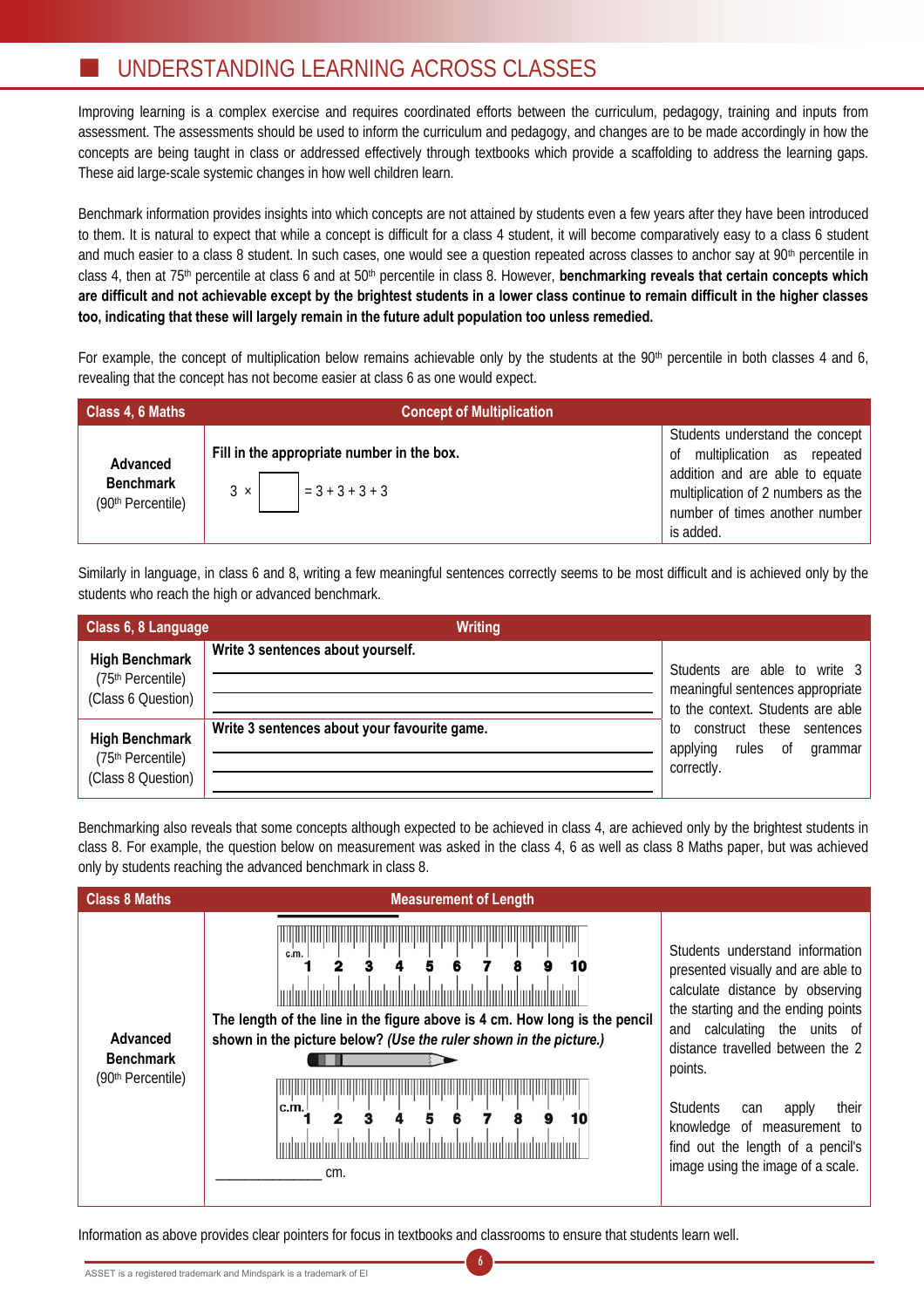# UNDERSTANDING LEARNING ACROSS CLASSES

Improving learning is a complex exercise and requires coordinated efforts between the curriculum, pedagogy, training and inputs from assessment. The assessments should be used to inform the curriculum and pedagogy, and changes are to be made accordingly in how the concepts are being taught in class or addressed effectively through textbooks which provide a scaffolding to address the learning gaps. These aid large-scale systemic changes in how well children learn.

Benchmark information provides insights into which concepts are not attained by students even a few years after they have been introduced to them. It is natural to expect that while a concept is difficult for a class 4 student, it will become comparatively easy to a class 6 student and much easier to a class 8 student. In such cases, one would see a question repeated across classes to anchor say at 90<sup>th</sup> percentile in class 4, then at 75th percentile at class 6 and at 50th percentile in class 8. However, **benchmarking reveals that certain concepts which are difficult and not achievable except by the brightest students in a lower class continue to remain difficult in the higher classes too, indicating that these will largely remain in the future adult population too unless remedied.** 

For example, the concept of multiplication below remains achievable only by the students at the 90<sup>th</sup> percentile in both classes 4 and 6, revealing that the concept has not become easier at class 6 as one would expect.

| Class 4, 6 Maths                                  | <b>Concept of Multiplication</b>                                               |                                                                                                                                                                                             |
|---------------------------------------------------|--------------------------------------------------------------------------------|---------------------------------------------------------------------------------------------------------------------------------------------------------------------------------------------|
| Advanced<br><b>Benchmark</b><br>(90th Percentile) | Fill in the appropriate number in the box.<br>$3 \times \Big $ = 3 + 3 + 3 + 3 | Students understand the concept<br>multiplication as repeated<br>0f<br>addition and are able to equate<br>multiplication of 2 numbers as the<br>number of times another number<br>is added. |

Similarly in language, in class 6 and 8, writing a few meaningful sentences correctly seems to be most difficult and is achieved only by the students who reach the high or advanced benchmark.

| Class 6, 8 Language                                              | <b>Writing</b>                               |                                                                                                       |
|------------------------------------------------------------------|----------------------------------------------|-------------------------------------------------------------------------------------------------------|
| <b>High Benchmark</b><br>(75th Percentile)<br>(Class 6 Question) | Write 3 sentences about yourself.            | Students are able to write 3<br>meaningful sentences appropriate<br>to the context. Students are able |
| <b>High Benchmark</b><br>(75th Percentile)<br>(Class 8 Question) | Write 3 sentences about your favourite game. | construct these<br>sentences<br>to<br>applying<br>rules<br>0f<br>grammar<br>correctly.                |

Benchmarking also reveals that some concepts although expected to be achieved in class 4, are achieved only by the brightest students in class 8. For example, the question below on measurement was asked in the class 4, 6 as well as class 8 Maths paper, but was achieved only by students reaching the advanced benchmark in class 8.

| <b>Class 8 Maths</b>                                          | <b>Measurement of Length</b>                                                                                                                                                                                                  |                                                                                                                                                                                                                                                                                                                                                                                       |
|---------------------------------------------------------------|-------------------------------------------------------------------------------------------------------------------------------------------------------------------------------------------------------------------------------|---------------------------------------------------------------------------------------------------------------------------------------------------------------------------------------------------------------------------------------------------------------------------------------------------------------------------------------------------------------------------------------|
| Advanced<br><b>Benchmark</b><br>(90 <sup>th</sup> Percentile) | c.m.<br><u>kodunlarindanlarindanlarindanlari</u> ndanlarind<br>The length of the line in the figure above is 4 cm. How long is the pencil<br>shown in the picture below? (Use the ruler shown in the picture.)<br>c.m.<br>cm. | Students understand information<br>presented visually and are able to<br>calculate distance by observing<br>the starting and the ending points<br>calculating the units of<br>and<br>distance travelled between the 2<br>points.<br><b>Students</b><br>their<br>apply<br>can<br>knowledge of measurement to<br>find out the length of a pencil's<br>image using the image of a scale. |

6

Information as above provides clear pointers for focus in textbooks and classrooms to ensure that students learn well.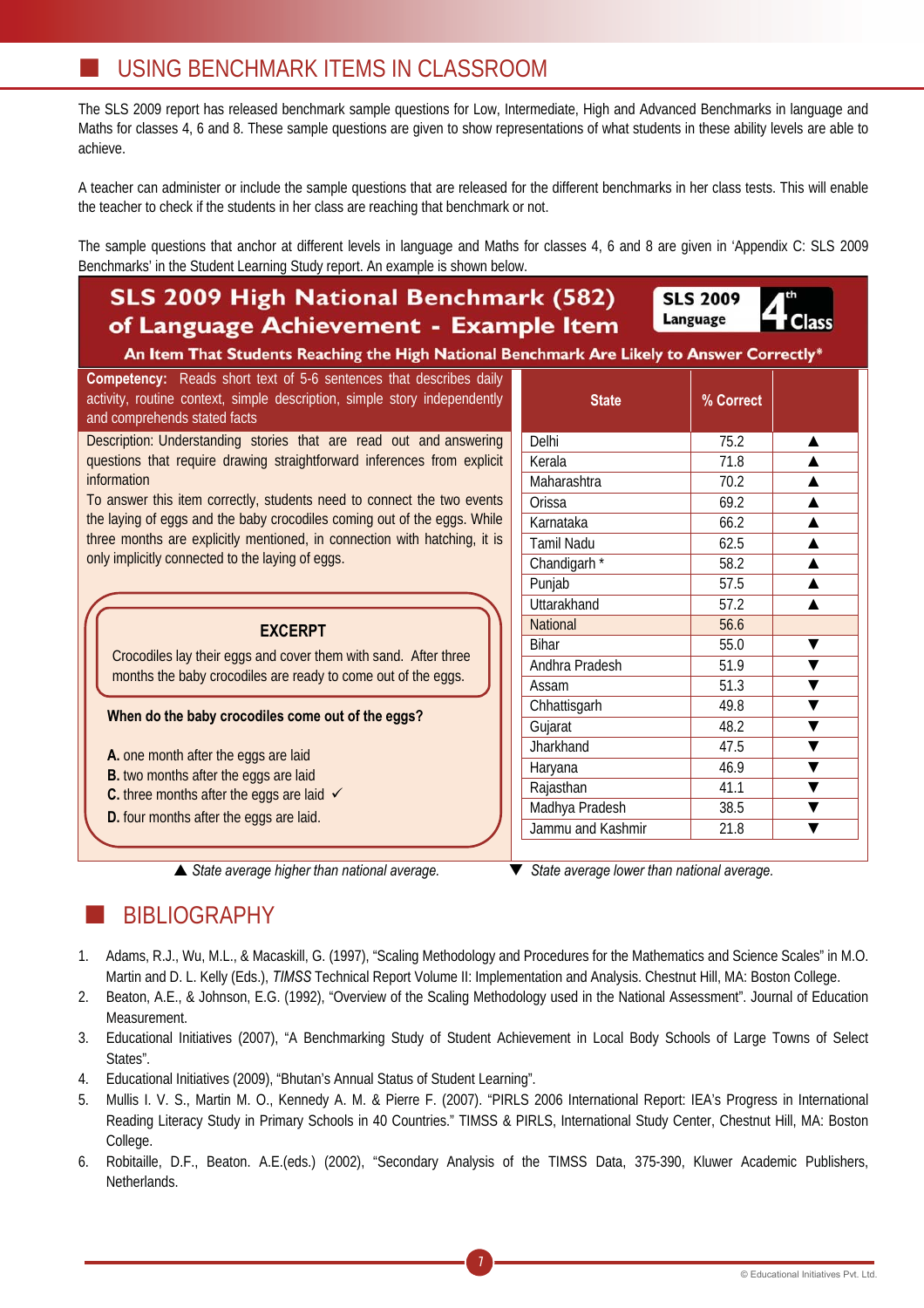The SLS 2009 report has released benchmark sample questions for Low, Intermediate, High and Advanced Benchmarks in language and Maths for classes 4, 6 and 8. These sample questions are given to show representations of what students in these ability levels are able to achieve.

A teacher can administer or include the sample questions that are released for the different benchmarks in her class tests. This will enable the teacher to check if the students in her class are reaching that benchmark or not.

The sample questions that anchor at different levels in language and Maths for classes 4, 6 and 8 are given in 'Appendix C: SLS 2009 Benchmarks' in the Student Learning Study report. An example is shown below.

### **SLS 2009 High National Benchmark (582)** of Language Achievement - Example Item

**SLS 2009** Language

An Item That Students Reaching the High National B

**Competency:** Reads short text of 5-6 sentences that describes daily activity, routine context, simple description, simple story independently and comprehends stated facts

Description: Understanding stories that are read out and answering questions that require drawing straightforward inferences from explicit information

To answer this item correctly, students need to connect the two events the laying of eggs and the baby crocodiles coming out of the eggs. While three months are explicitly mentioned, in connection with hatching, it is only implicitly connected to the laying of eggs.

**EXCERPT**

Crocodiles lay their eggs and cover them with sand. After three months the baby crocodiles are ready to come out of the eggs.

### **When do the baby crocodiles come out of the eggs?**

- **A.** one month after the eggs are laid
- **B.** two months after the eggs are laid
- **C.** three months after the eggs are laid  $\checkmark$

**D.** four months after the eggs are laid.

S *State average higher than national average.* T *State average lower than national average.* 

| $\frac{1}{2}$      |           |   |  |  |
|--------------------|-----------|---|--|--|
| <b>State</b>       | % Correct |   |  |  |
| Delhi              | 75.2      | ▲ |  |  |
| Kerala             | 71.8      |   |  |  |
| Maharashtra        | 70.2      |   |  |  |
| Orissa             | 69.2      |   |  |  |
| Karnataka          | 66.2      |   |  |  |
| <b>Tamil Nadu</b>  | 62.5      |   |  |  |
| Chandigarh*        | 58.2      |   |  |  |
| Punjab             | 57.5      |   |  |  |
| <b>Uttarakhand</b> | 57.2      |   |  |  |
| <b>National</b>    | 56.6      |   |  |  |
| <b>Bihar</b>       | 55.0      |   |  |  |
| Andhra Pradesh     | 51.9      |   |  |  |
| Assam              | 51.3      |   |  |  |
| Chhattisgarh       | 49.8      |   |  |  |
| Gujarat            | 48.2      |   |  |  |
| Jharkhand          | 47.5      |   |  |  |
| Haryana            | 46.9      |   |  |  |
| Rajasthan          | 41.1      |   |  |  |
| Madhya Pradesh     | 38.5      |   |  |  |
| Jammu and Kashmir  | 21.8      |   |  |  |

# BIBLIOGRAPHY

- 1. Adams, R.J., Wu, M.L., & Macaskill, G. (1997), "Scaling Methodology and Procedures for the Mathematics and Science Scales" in M.O. Martin and D. L. Kelly (Eds.), *TIMSS* Technical Report Volume II: Implementation and Analysis. Chestnut Hill, MA: Boston College.
- 2. Beaton, A.E., & Johnson, E.G. (1992), "Overview of the Scaling Methodology used in the National Assessment". Journal of Education Measurement.
- 3. Educational Initiatives (2007), "A Benchmarking Study of Student Achievement in Local Body Schools of Large Towns of Select States".
- 4. Educational Initiatives (2009), "Bhutan's Annual Status of Student Learning".
- 5. Mullis I. V. S., Martin M. O., Kennedy A. M. & Pierre F. (2007). "PIRLS 2006 International Report: IEA's Progress in International Reading Literacy Study in Primary Schools in 40 Countries." TIMSS & PIRLS, International Study Center, Chestnut Hill, MA: Boston College.
- 6. Robitaille, D.F., Beaton. A.E.(eds.) (2002), "Secondary Analysis of the TIMSS Data, 375-390, Kluwer Academic Publishers, Netherlands.

7